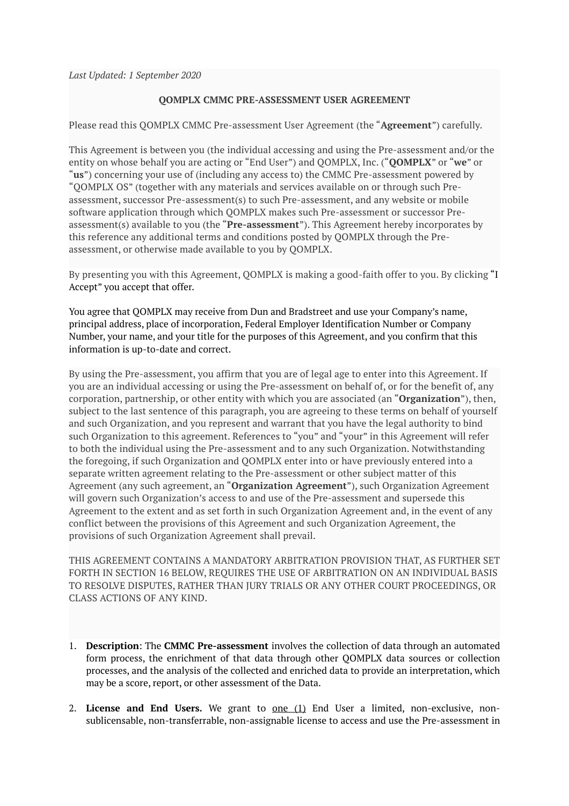*Last Updated: 1 September 2020* 

## **QOMPLX CMMC PRE-ASSESSMENT USER AGREEMENT**

Please read this QOMPLX CMMC Pre-assessment User Agreement (the "**Agreement**") carefully.

This Agreement is between you (the individual accessing and using the Pre-assessment and/or the entity on whose behalf you are acting or "End User") and QOMPLX, Inc. ("**QOMPLX**" or "**we**" or "**us**") concerning your use of (including any access to) the CMMC Pre-assessment powered by "QOMPLX OS" (together with any materials and services available on or through such Preassessment, successor Pre-assessment(s) to such Pre-assessment, and any website or mobile software application through which QOMPLX makes such Pre-assessment or successor Preassessment(s) available to you (the "**Pre-assessment**"). This Agreement hereby incorporates by this reference any additional terms and conditions posted by QOMPLX through the Preassessment, or otherwise made available to you by QOMPLX.

By presenting you with this Agreement, QOMPLX is making a good-faith offer to you. By clicking "I Accept" you accept that offer.

You agree that QOMPLX may receive from Dun and Bradstreet and use your Company's name, principal address, place of incorporation, Federal Employer Identification Number or Company Number, your name, and your title for the purposes of this Agreement, and you confirm that this information is up-to-date and correct.

By using the Pre-assessment, you affirm that you are of legal age to enter into this Agreement. If you are an individual accessing or using the Pre-assessment on behalf of, or for the benefit of, any corporation, partnership, or other entity with which you are associated (an "**Organization**"), then, subject to the last sentence of this paragraph, you are agreeing to these terms on behalf of yourself and such Organization, and you represent and warrant that you have the legal authority to bind such Organization to this agreement. References to "you" and "your" in this Agreement will refer to both the individual using the Pre-assessment and to any such Organization. Notwithstanding the foregoing, if such Organization and QOMPLX enter into or have previously entered into a separate written agreement relating to the Pre-assessment or other subject matter of this Agreement (any such agreement, an "**Organization Agreement**"), such Organization Agreement will govern such Organization's access to and use of the Pre-assessment and supersede this Agreement to the extent and as set forth in such Organization Agreement and, in the event of any conflict between the provisions of this Agreement and such Organization Agreement, the provisions of such Organization Agreement shall prevail.

THIS AGREEMENT CONTAINS A MANDATORY ARBITRATION PROVISION THAT, AS FURTHER SET FORTH IN SECTION 16 BELOW, REQUIRES THE USE OF ARBITRATION ON AN INDIVIDUAL BASIS TO RESOLVE DISPUTES, RATHER THAN JURY TRIALS OR ANY OTHER COURT PROCEEDINGS, OR CLASS ACTIONS OF ANY KIND.

- 1. **Description**: The **CMMC Pre-assessment** involves the collection of data through an automated form process, the enrichment of that data through other QOMPLX data sources or collection processes, and the analysis of the collected and enriched data to provide an interpretation, which may be a score, report, or other assessment of the Data.
- 2. **License and End Users.** We grant to one (1) End User a limited, non-exclusive, nonsublicensable, non-transferrable, non-assignable license to access and use the Pre-assessment in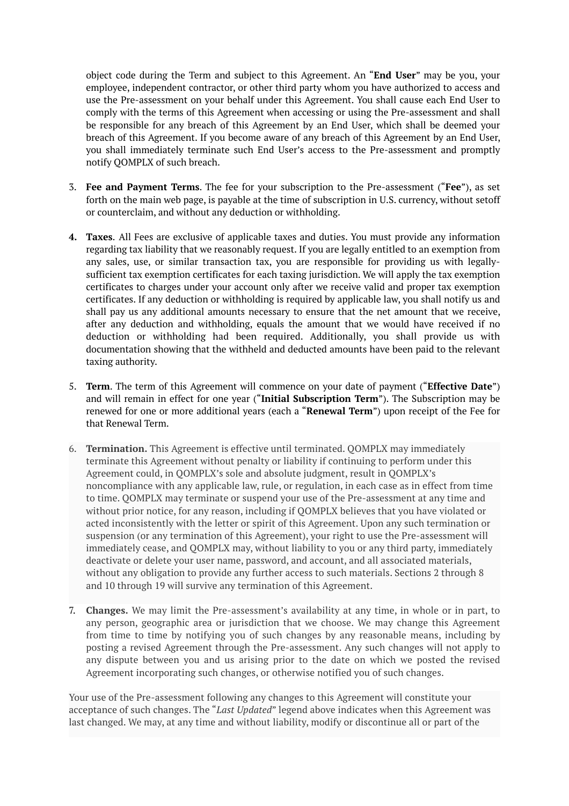object code during the Term and subject to this Agreement. An "**End User**" may be you, your employee, independent contractor, or other third party whom you have authorized to access and use the Pre-assessment on your behalf under this Agreement. You shall cause each End User to comply with the terms of this Agreement when accessing or using the Pre-assessment and shall be responsible for any breach of this Agreement by an End User, which shall be deemed your breach of this Agreement. If you become aware of any breach of this Agreement by an End User, you shall immediately terminate such End User's access to the Pre-assessment and promptly notify QOMPLX of such breach.

- 3. **Fee and Payment Terms**. The fee for your subscription to the Pre-assessment ("**Fee**"), as set forth on the main web page, is payable at the time of subscription in U.S. currency, without setoff or counterclaim, and without any deduction or withholding.
- **4. Taxes**. All Fees are exclusive of applicable taxes and duties. You must provide any information regarding tax liability that we reasonably request. If you are legally entitled to an exemption from any sales, use, or similar transaction tax, you are responsible for providing us with legallysufficient tax exemption certificates for each taxing jurisdiction. We will apply the tax exemption certificates to charges under your account only after we receive valid and proper tax exemption certificates. If any deduction or withholding is required by applicable law, you shall notify us and shall pay us any additional amounts necessary to ensure that the net amount that we receive, after any deduction and withholding, equals the amount that we would have received if no deduction or withholding had been required. Additionally, you shall provide us with documentation showing that the withheld and deducted amounts have been paid to the relevant taxing authority.
- 5. **Term**. The term of this Agreement will commence on your date of payment ("**Effective Date**") and will remain in effect for one year ("**Initial Subscription Term**"). The Subscription may be renewed for one or more additional years (each a "**Renewal Term**") upon receipt of the Fee for that Renewal Term.
- 6. **Termination.** This Agreement is effective until terminated. QOMPLX may immediately terminate this Agreement without penalty or liability if continuing to perform under this Agreement could, in QOMPLX's sole and absolute judgment, result in QOMPLX's noncompliance with any applicable law, rule, or regulation, in each case as in effect from time to time. QOMPLX may terminate or suspend your use of the Pre-assessment at any time and without prior notice, for any reason, including if QOMPLX believes that you have violated or acted inconsistently with the letter or spirit of this Agreement. Upon any such termination or suspension (or any termination of this Agreement), your right to use the Pre-assessment will immediately cease, and QOMPLX may, without liability to you or any third party, immediately deactivate or delete your user name, password, and account, and all associated materials, without any obligation to provide any further access to such materials. Sections 2 through 8 and 10 through 19 will survive any termination of this Agreement.
- 7. **Changes.** We may limit the Pre-assessment's availability at any time, in whole or in part, to any person, geographic area or jurisdiction that we choose. We may change this Agreement from time to time by notifying you of such changes by any reasonable means, including by posting a revised Agreement through the Pre-assessment. Any such changes will not apply to any dispute between you and us arising prior to the date on which we posted the revised Agreement incorporating such changes, or otherwise notified you of such changes.

Your use of the Pre-assessment following any changes to this Agreement will constitute your acceptance of such changes. The "*Last Updated*" legend above indicates when this Agreement was last changed. We may, at any time and without liability, modify or discontinue all or part of the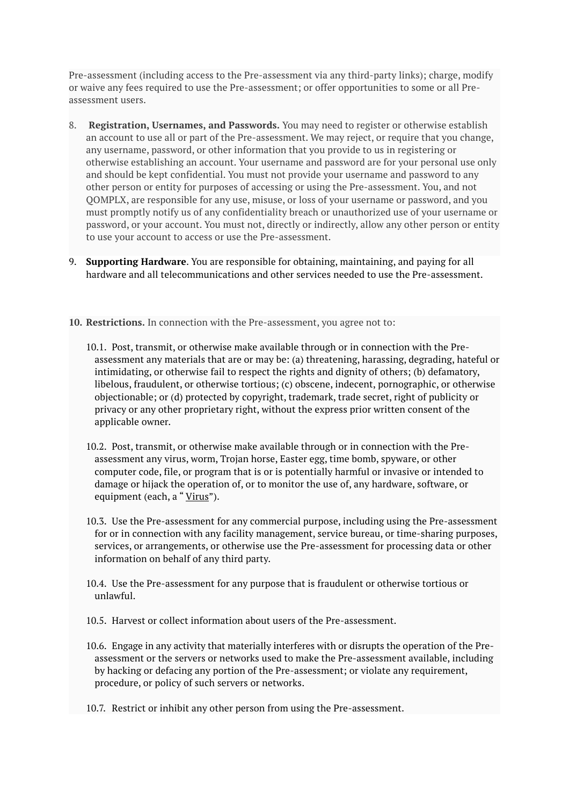Pre-assessment (including access to the Pre-assessment via any third-party links); charge, modify or waive any fees required to use the Pre-assessment; or offer opportunities to some or all Preassessment users.

- 8. **Registration, Usernames, and Passwords.** You may need to register or otherwise establish an account to use all or part of the Pre-assessment. We may reject, or require that you change, any username, password, or other information that you provide to us in registering or otherwise establishing an account. Your username and password are for your personal use only and should be kept confidential. You must not provide your username and password to any other person or entity for purposes of accessing or using the Pre-assessment. You, and not QOMPLX, are responsible for any use, misuse, or loss of your username or password, and you must promptly notify us of any confidentiality breach or unauthorized use of your username or password, or your account. You must not, directly or indirectly, allow any other person or entity to use your account to access or use the Pre-assessment.
- 9. **Supporting Hardware**. You are responsible for obtaining, maintaining, and paying for all hardware and all telecommunications and other services needed to use the Pre-assessment.
- **10. Restrictions.** In connection with the Pre-assessment, you agree not to:
	- 10.1. Post, transmit, or otherwise make available through or in connection with the Preassessment any materials that are or may be: (a) threatening, harassing, degrading, hateful or intimidating, or otherwise fail to respect the rights and dignity of others; (b) defamatory, libelous, fraudulent, or otherwise tortious; (c) obscene, indecent, pornographic, or otherwise objectionable; or (d) protected by copyright, trademark, trade secret, right of publicity or privacy or any other proprietary right, without the express prior written consent of the applicable owner.
	- 10.2. Post, transmit, or otherwise make available through or in connection with the Preassessment any virus, worm, Trojan horse, Easter egg, time bomb, spyware, or other computer code, file, or program that is or is potentially harmful or invasive or intended to damage or hijack the operation of, or to monitor the use of, any hardware, software, or equipment (each, a "Virus").
	- 10.3. Use the Pre-assessment for any commercial purpose, including using the Pre-assessment for or in connection with any facility management, service bureau, or time-sharing purposes, services, or arrangements, or otherwise use the Pre-assessment for processing data or other information on behalf of any third party.
	- 10.4. Use the Pre-assessment for any purpose that is fraudulent or otherwise tortious or unlawful.
	- 10.5. Harvest or collect information about users of the Pre-assessment.
	- 10.6. Engage in any activity that materially interferes with or disrupts the operation of the Preassessment or the servers or networks used to make the Pre-assessment available, including by hacking or defacing any portion of the Pre-assessment; or violate any requirement, procedure, or policy of such servers or networks.
	- 10.7. Restrict or inhibit any other person from using the Pre-assessment.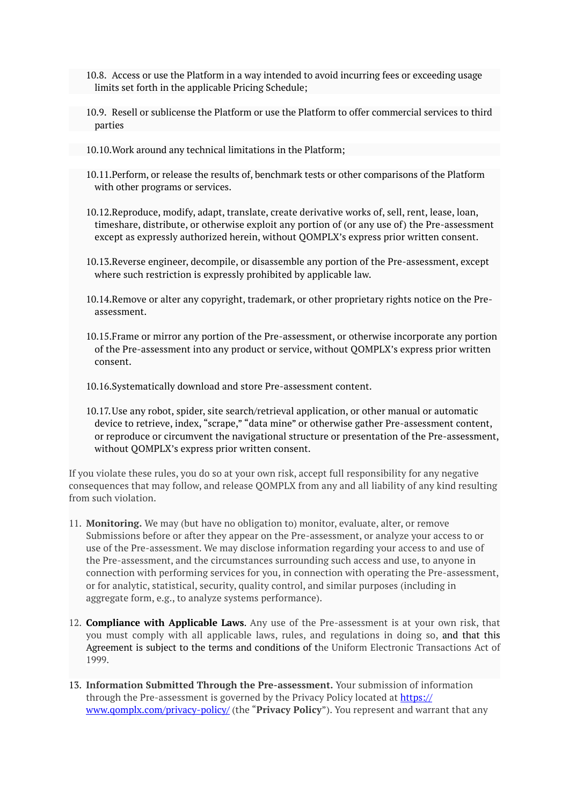- 10.8. Access or use the Platform in a way intended to avoid incurring fees or exceeding usage limits set forth in the applicable Pricing Schedule;
- 10.9. Resell or sublicense the Platform or use the Platform to offer commercial services to third parties
- 10.10.Work around any technical limitations in the Platform;
- 10.11.Perform, or release the results of, benchmark tests or other comparisons of the Platform with other programs or services.
- 10.12.Reproduce, modify, adapt, translate, create derivative works of, sell, rent, lease, loan, timeshare, distribute, or otherwise exploit any portion of (or any use of) the Pre-assessment except as expressly authorized herein, without QOMPLX's express prior written consent.
- 10.13.Reverse engineer, decompile, or disassemble any portion of the Pre-assessment, except where such restriction is expressly prohibited by applicable law.
- 10.14.Remove or alter any copyright, trademark, or other proprietary rights notice on the Preassessment.
- 10.15.Frame or mirror any portion of the Pre-assessment, or otherwise incorporate any portion of the Pre-assessment into any product or service, without QOMPLX's express prior written consent.
- 10.16.Systematically download and store Pre-assessment content.
- 10.17.Use any robot, spider, site search/retrieval application, or other manual or automatic device to retrieve, index, "scrape," "data mine" or otherwise gather Pre-assessment content, or reproduce or circumvent the navigational structure or presentation of the Pre-assessment, without QOMPLX's express prior written consent.

If you violate these rules, you do so at your own risk, accept full responsibility for any negative consequences that may follow, and release QOMPLX from any and all liability of any kind resulting from such violation.

- 11. **Monitoring.** We may (but have no obligation to) monitor, evaluate, alter, or remove Submissions before or after they appear on the Pre-assessment, or analyze your access to or use of the Pre-assessment. We may disclose information regarding your access to and use of the Pre-assessment, and the circumstances surrounding such access and use, to anyone in connection with performing services for you, in connection with operating the Pre-assessment, or for analytic, statistical, security, quality control, and similar purposes (including in aggregate form, e.g., to analyze systems performance).
- 12. **Compliance with Applicable Laws**. Any use of the Pre-assessment is at your own risk, that you must comply with all applicable laws, rules, and regulations in doing so, and that this Agreement is subject to the terms and conditions of the Uniform Electronic Transactions Act of 1999.
- 13. **Information Submitted Through the Pre-assessment.** Your submission of information through the Pre-assessment is governed by the Privacy Policy located at [https://](https://www.qomplx.com/privacy-policy/) [www.qomplx.com/privacy-policy/](https://www.qomplx.com/privacy-policy/) (the "**Privacy Policy**"). You represent and warrant that any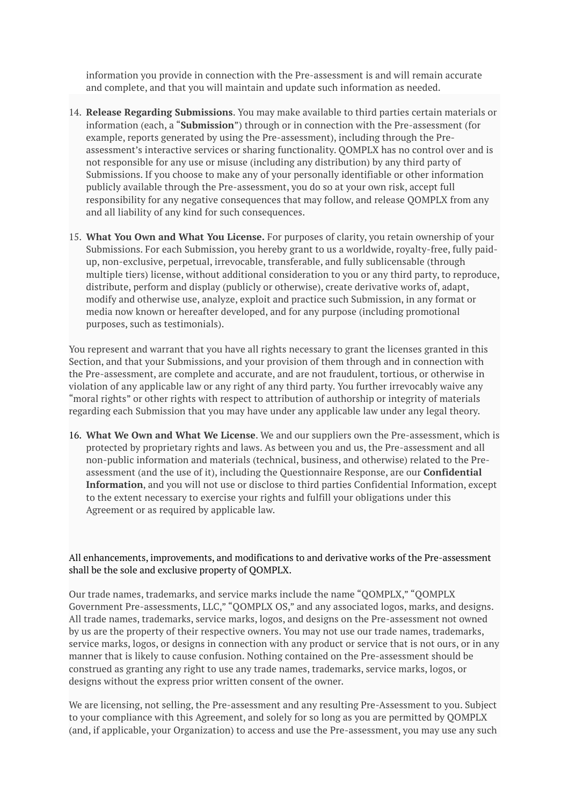information you provide in connection with the Pre-assessment is and will remain accurate and complete, and that you will maintain and update such information as needed.

- 14. **Release Regarding Submissions**. You may make available to third parties certain materials or information (each, a "**Submission**") through or in connection with the Pre-assessment (for example, reports generated by using the Pre-assessment), including through the Preassessment's interactive services or sharing functionality. QOMPLX has no control over and is not responsible for any use or misuse (including any distribution) by any third party of Submissions. If you choose to make any of your personally identifiable or other information publicly available through the Pre-assessment, you do so at your own risk, accept full responsibility for any negative consequences that may follow, and release QOMPLX from any and all liability of any kind for such consequences.
- 15. **What You Own and What You License.** For purposes of clarity, you retain ownership of your Submissions. For each Submission, you hereby grant to us a worldwide, royalty-free, fully paidup, non-exclusive, perpetual, irrevocable, transferable, and fully sublicensable (through multiple tiers) license, without additional consideration to you or any third party, to reproduce, distribute, perform and display (publicly or otherwise), create derivative works of, adapt, modify and otherwise use, analyze, exploit and practice such Submission, in any format or media now known or hereafter developed, and for any purpose (including promotional purposes, such as testimonials).

You represent and warrant that you have all rights necessary to grant the licenses granted in this Section, and that your Submissions, and your provision of them through and in connection with the Pre-assessment, are complete and accurate, and are not fraudulent, tortious, or otherwise in violation of any applicable law or any right of any third party. You further irrevocably waive any "moral rights" or other rights with respect to attribution of authorship or integrity of materials regarding each Submission that you may have under any applicable law under any legal theory.

16. **What We Own and What We License**. We and our suppliers own the Pre-assessment, which is protected by proprietary rights and laws. As between you and us, the Pre-assessment and all non-public information and materials (technical, business, and otherwise) related to the Preassessment (and the use of it), including the Questionnaire Response, are our **Confidential Information**, and you will not use or disclose to third parties Confidential Information, except to the extent necessary to exercise your rights and fulfill your obligations under this Agreement or as required by applicable law.

## All enhancements, improvements, and modifications to and derivative works of the Pre-assessment shall be the sole and exclusive property of QOMPLX.

Our trade names, trademarks, and service marks include the name "QOMPLX," "QOMPLX Government Pre-assessments, LLC," "QOMPLX OS," and any associated logos, marks, and designs. All trade names, trademarks, service marks, logos, and designs on the Pre-assessment not owned by us are the property of their respective owners. You may not use our trade names, trademarks, service marks, logos, or designs in connection with any product or service that is not ours, or in any manner that is likely to cause confusion. Nothing contained on the Pre-assessment should be construed as granting any right to use any trade names, trademarks, service marks, logos, or designs without the express prior written consent of the owner.

We are licensing, not selling, the Pre-assessment and any resulting Pre-Assessment to you. Subject to your compliance with this Agreement, and solely for so long as you are permitted by QOMPLX (and, if applicable, your Organization) to access and use the Pre-assessment, you may use any such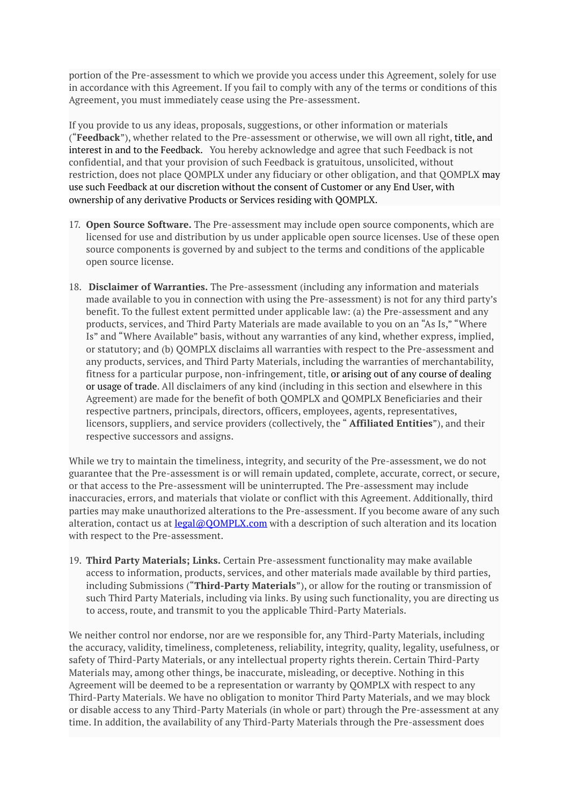portion of the Pre-assessment to which we provide you access under this Agreement, solely for use in accordance with this Agreement. If you fail to comply with any of the terms or conditions of this Agreement, you must immediately cease using the Pre-assessment.

If you provide to us any ideas, proposals, suggestions, or other information or materials ("**Feedback**"), whether related to the Pre-assessment or otherwise, we will own all right, title, and interest in and to the Feedback. You hereby acknowledge and agree that such Feedback is not confidential, and that your provision of such Feedback is gratuitous, unsolicited, without restriction, does not place QOMPLX under any fiduciary or other obligation, and that QOMPLX may use such Feedback at our discretion without the consent of Customer or any End User, with ownership of any derivative Products or Services residing with QOMPLX.

- 17. **Open Source Software.** The Pre-assessment may include open source components, which are licensed for use and distribution by us under applicable open source licenses. Use of these open source components is governed by and subject to the terms and conditions of the applicable open source license.
- 18. **Disclaimer of Warranties.** The Pre-assessment (including any information and materials made available to you in connection with using the Pre-assessment) is not for any third party's benefit. To the fullest extent permitted under applicable law: (a) the Pre-assessment and any products, services, and Third Party Materials are made available to you on an "As Is," "Where Is" and "Where Available" basis, without any warranties of any kind, whether express, implied, or statutory; and (b) QOMPLX disclaims all warranties with respect to the Pre-assessment and any products, services, and Third Party Materials, including the warranties of merchantability, fitness for a particular purpose, non-infringement, title, or arising out of any course of dealing or usage of trade. All disclaimers of any kind (including in this section and elsewhere in this Agreement) are made for the benefit of both QOMPLX and QOMPLX Beneficiaries and their respective partners, principals, directors, officers, employees, agents, representatives, licensors, suppliers, and service providers (collectively, the " **Affiliated Entities**"), and their respective successors and assigns.

While we try to maintain the timeliness, integrity, and security of the Pre-assessment, we do not guarantee that the Pre-assessment is or will remain updated, complete, accurate, correct, or secure, or that access to the Pre-assessment will be uninterrupted. The Pre-assessment may include inaccuracies, errors, and materials that violate or conflict with this Agreement. Additionally, third parties may make unauthorized alterations to the Pre-assessment. If you become aware of any such alteration, contact us at  $\text{legal@OOD}$ . Com with a description of such alteration and its location with respect to the Pre-assessment.

19. **Third Party Materials; Links.** Certain Pre-assessment functionality may make available access to information, products, services, and other materials made available by third parties, including Submissions ("**Third-Party Materials**"), or allow for the routing or transmission of such Third Party Materials, including via links. By using such functionality, you are directing us to access, route, and transmit to you the applicable Third-Party Materials.

We neither control nor endorse, nor are we responsible for, any Third-Party Materials, including the accuracy, validity, timeliness, completeness, reliability, integrity, quality, legality, usefulness, or safety of Third-Party Materials, or any intellectual property rights therein. Certain Third-Party Materials may, among other things, be inaccurate, misleading, or deceptive. Nothing in this Agreement will be deemed to be a representation or warranty by QOMPLX with respect to any Third-Party Materials. We have no obligation to monitor Third Party Materials, and we may block or disable access to any Third-Party Materials (in whole or part) through the Pre-assessment at any time. In addition, the availability of any Third-Party Materials through the Pre-assessment does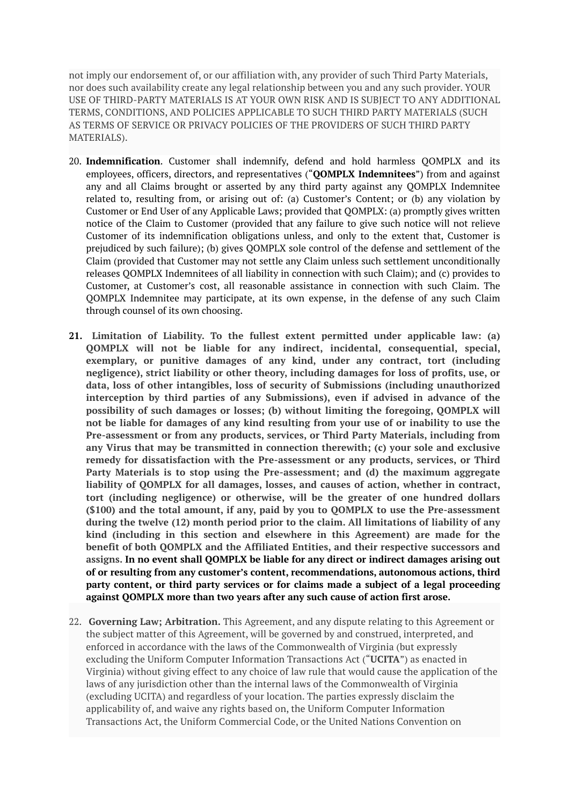not imply our endorsement of, or our affiliation with, any provider of such Third Party Materials, nor does such availability create any legal relationship between you and any such provider. YOUR USE OF THIRD-PARTY MATERIALS IS AT YOUR OWN RISK AND IS SUBJECT TO ANY ADDITIONAL TERMS, CONDITIONS, AND POLICIES APPLICABLE TO SUCH THIRD PARTY MATERIALS (SUCH AS TERMS OF SERVICE OR PRIVACY POLICIES OF THE PROVIDERS OF SUCH THIRD PARTY MATERIALS).

- 20. **Indemnification**. Customer shall indemnify, defend and hold harmless QOMPLX and its employees, officers, directors, and representatives ("**QOMPLX Indemnitees**") from and against any and all Claims brought or asserted by any third party against any QOMPLX Indemnitee related to, resulting from, or arising out of: (a) Customer's Content; or (b) any violation by Customer or End User of any Applicable Laws; provided that QOMPLX: (a) promptly gives written notice of the Claim to Customer (provided that any failure to give such notice will not relieve Customer of its indemnification obligations unless, and only to the extent that, Customer is prejudiced by such failure); (b) gives QOMPLX sole control of the defense and settlement of the Claim (provided that Customer may not settle any Claim unless such settlement unconditionally releases QOMPLX Indemnitees of all liability in connection with such Claim); and (c) provides to Customer, at Customer's cost, all reasonable assistance in connection with such Claim. The QOMPLX Indemnitee may participate, at its own expense, in the defense of any such Claim through counsel of its own choosing.
- **21. Limitation of Liability. To the fullest extent permitted under applicable law: (a) QOMPLX will not be liable for any indirect, incidental, consequential, special, exemplary, or punitive damages of any kind, under any contract, tort (including negligence), strict liability or other theory, including damages for loss of profits, use, or data, loss of other intangibles, loss of security of Submissions (including unauthorized interception by third parties of any Submissions), even if advised in advance of the possibility of such damages or losses; (b) without limiting the foregoing, QOMPLX will not be liable for damages of any kind resulting from your use of or inability to use the Pre-assessment or from any products, services, or Third Party Materials, including from any Virus that may be transmitted in connection therewith; (c) your sole and exclusive remedy for dissatisfaction with the Pre-assessment or any products, services, or Third Party Materials is to stop using the Pre-assessment; and (d) the maximum aggregate liability of QOMPLX for all damages, losses, and causes of action, whether in contract, tort (including negligence) or otherwise, will be the greater of one hundred dollars (\$100) and the total amount, if any, paid by you to QOMPLX to use the Pre-assessment during the twelve (12) month period prior to the claim. All limitations of liability of any kind (including in this section and elsewhere in this Agreement) are made for the benefit of both QOMPLX and the Affiliated Entities, and their respective successors and assigns. In no event shall QOMPLX be liable for any direct or indirect damages arising out of or resulting from any customer's content, recommendations, autonomous actions, third party content, or third party services or for claims made a subject of a legal proceeding against QOMPLX more than two years after any such cause of action first arose.**
- 22. **Governing Law; Arbitration.** This Agreement, and any dispute relating to this Agreement or the subject matter of this Agreement, will be governed by and construed, interpreted, and enforced in accordance with the laws of the Commonwealth of Virginia (but expressly excluding the Uniform Computer Information Transactions Act ("**UCITA**") as enacted in Virginia) without giving effect to any choice of law rule that would cause the application of the laws of any jurisdiction other than the internal laws of the Commonwealth of Virginia (excluding UCITA) and regardless of your location. The parties expressly disclaim the applicability of, and waive any rights based on, the Uniform Computer Information Transactions Act, the Uniform Commercial Code, or the United Nations Convention on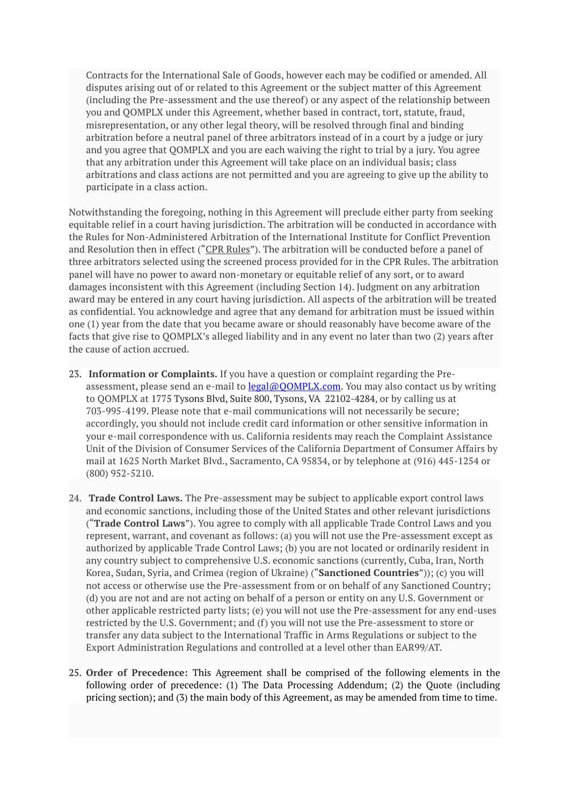Contracts for the International Sale of Goods, however each may be codified or amended. All disputes arising out of or related to this Agreement or the subject matter of this Agreement (including the Pre-assessment and the use thereof) or any aspect of the relationship between you and QOMPLX under this Agreement, whether based in contract, tort, statute, fraud, misrepresentation, or any other legal theory, will be resolved through final and binding arbitration before a neutral panel of three arbitrators instead of in a court by a judge or jury and you agree that QOMPLX and you are each waiving the right to trial by a jury. You agree that any arbitration under this Agreement will take place on an individual basis; class arbitrations and class actions are not permitted and you are agreeing to give up the ability to participate in a class action.

Notwithstanding the foregoing, nothing in this Agreement will preclude either party from seeking equitable relief in a court having jurisdiction. The arbitration will be conducted in accordance with the Rules for Non-Administered Arbitration of the International Institute for Conflict Prevention and Resolution then in effect ("CPR Rules"). The arbitration will be conducted before a panel of three arbitrators selected using the screened process provided for in the CPR Rules. The arbitration panel will have no power to award non-monetary or equitable relief of any sort, or to award damages inconsistent with this Agreement (including Section 14). Judgment on any arbitration award may be entered in any court having jurisdiction. All aspects of the arbitration will be treated as confidential. You acknowledge and agree that any demand for arbitration must be issued within one (1) year from the date that you became aware or should reasonably have become aware of the facts that give rise to QOMPLX's alleged liability and in any event no later than two (2) years after the cause of action accrued.

- 23. **Information or Complaints.** If you have a question or complaint regarding the Preassessment, please send an e-mail to legal@OOMPLX.com. You may also contact us by writing to QOMPLX at 1775 Tysons Blvd, Suite 800, Tysons, VA 22102-4284, or by calling us at 703-995-4199. Please note that e-mail communications will not necessarily be secure; accordingly, you should not include credit card information or other sensitive information in your e-mail correspondence with us. California residents may reach the Complaint Assistance Unit of the Division of Consumer Services of the California Department of Consumer Affairs by mail at 1625 North Market Blvd., Sacramento, CA 95834, or by telephone at (916) 445-1254 or (800) 952-5210.
- 24. **Trade Control Laws.** The Pre-assessment may be subject to applicable export control laws and economic sanctions, including those of the United States and other relevant jurisdictions ("**Trade Control Laws**"). You agree to comply with all applicable Trade Control Laws and you represent, warrant, and covenant as follows: (a) you will not use the Pre-assessment except as authorized by applicable Trade Control Laws; (b) you are not located or ordinarily resident in any country subject to comprehensive U.S. economic sanctions (currently, Cuba, Iran, North Korea, Sudan, Syria, and Crimea (region of Ukraine) ("**Sanctioned Countries**")); (c) you will not access or otherwise use the Pre-assessment from or on behalf of any Sanctioned Country; (d) you are not and are not acting on behalf of a person or entity on any U.S. Government or other applicable restricted party lists; (e) you will not use the Pre-assessment for any end-uses restricted by the U.S. Government; and (f) you will not use the Pre-assessment to store or transfer any data subject to the International Traffic in Arms Regulations or subject to the Export Administration Regulations and controlled at a level other than EAR99/AT.
- 25. **Order of Precedence:** This Agreement shall be comprised of the following elements in the following order of precedence: (1) The Data Processing Addendum; (2) the Quote (including pricing section); and (3) the main body of this Agreement, as may be amended from time to time.